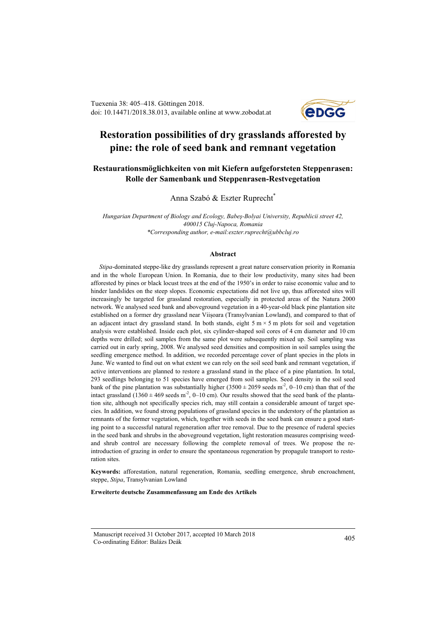Tuexenia 38: 405–418. Göttingen 2018. doi: 10.14471/2018.38.013, available online at www.zobodat.at



# **Restoration possibilities of dry grasslands afforested by pine: the role of seed bank and remnant vegetation**

# **Restaurationsmöglichkeiten von mit Kiefern aufgeforsteten Steppenrasen: Rolle der Samenbank und Steppenrasen-Restvegetation**

Anna Szabó & Eszter Ruprecht\*

*Hungarian Department of Biology and Ecology, Babeş-Bolyai University, Republicii street 42, 400015 Cluj-Napoca, Romania \*Corresponding author, e-mail:eszter.ruprecht@ubbcluj.ro*

#### **Abstract**

*Stipa*-dominated steppe-like dry grasslands represent a great nature conservation priority in Romania and in the whole European Union. In Romania, due to their low productivity, many sites had been afforested by pines or black locust trees at the end of the 1950's in order to raise economic value and to hinder landslides on the steep slopes. Economic expectations did not live up, thus afforested sites will increasingly be targeted for grassland restoration, especially in protected areas of the Natura 2000 network. We analysed seed bank and aboveground vegetation in a 40-year-old black pine plantation site established on a former dry grassland near Viișoara (Transylvanian Lowland), and compared to that of an adjacent intact dry grassland stand. In both stands, eight  $5 \text{ m} \times 5 \text{ m}$  plots for soil and vegetation analysis were established. Inside each plot, six cylinder-shaped soil cores of 4 cm diameter and 10 cm depths were drilled; soil samples from the same plot were subsequently mixed up. Soil sampling was carried out in early spring, 2008. We analysed seed densities and composition in soil samples using the seedling emergence method. In addition, we recorded percentage cover of plant species in the plots in June. We wanted to find out on what extent we can rely on the soil seed bank and remnant vegetation, if active interventions are planned to restore a grassland stand in the place of a pine plantation. In total, 293 seedlings belonging to 51 species have emerged from soil samples. Seed density in the soil seed bank of the pine plantation was substantially higher  $(3500 \pm 2059 \text{ seeds m}^2, 0-10 \text{ cm})$  than that of the intact grassland (1360  $\pm$  469 seeds m<sup>-2</sup>, 0–10 cm). Our results showed that the seed bank of the plantation site, although not specifically species rich, may still contain a considerable amount of target species. In addition, we found strong populations of grassland species in the understory of the plantation as remnants of the former vegetation, which, together with seeds in the seed bank can ensure a good starting point to a successful natural regeneration after tree removal. Due to the presence of ruderal species in the seed bank and shrubs in the aboveground vegetation, light restoration measures comprising weedand shrub control are necessary following the complete removal of trees. We propose the reintroduction of grazing in order to ensure the spontaneous regeneration by propagule transport to restoration sites.

**Keywords:** afforestation, natural regeneration, Romania, seedling emergence, shrub encroachment, steppe, *Stipa*, Transylvanian Lowland

#### **Erweiterte deutsche Zusammenfassung am Ende des Artikels**

Manuscript received 31 October 2017, accepted 10 March 2018 Co-ordinating Editor: Balázs Deák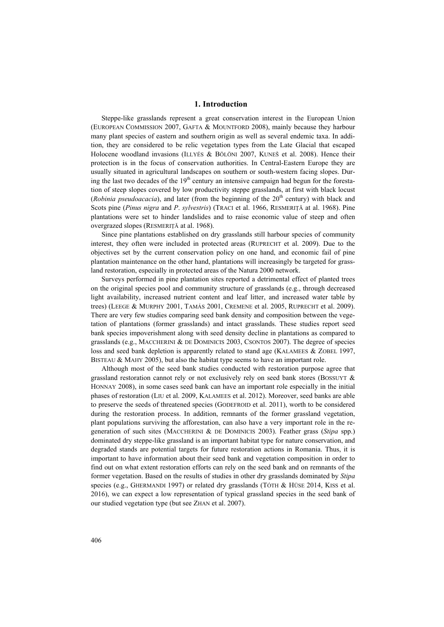## **1. Introduction**

Steppe-like grasslands represent a great conservation interest in the European Union (EUROPEAN COMMISSION 2007, GAFTA & MOUNTFORD 2008), mainly because they harbour many plant species of eastern and southern origin as well as several endemic taxa. In addition, they are considered to be relic vegetation types from the Late Glacial that escaped Holocene woodland invasions (ILLYÉS & BÖLÖNI 2007, KUNEŠ et al. 2008). Hence their protection is in the focus of conservation authorities. In Central-Eastern Europe they are usually situated in agricultural landscapes on southern or south-western facing slopes. During the last two decades of the  $19<sup>th</sup>$  century an intensive campaign had begun for the forestation of steep slopes covered by low productivity steppe grasslands, at first with black locust (*Robinia pseudoacacia*), and later (from the beginning of the  $20<sup>th</sup>$  century) with black and Scots pine (*Pinus nigra* and *P*. *sylvestris*) (TRACI et al. 1966, RESMERIŢĂ at al. 1968). Pine plantations were set to hinder landslides and to raise economic value of steep and often overgrazed slopes (RESMERIŢĂ at al. 1968).

Since pine plantations established on dry grasslands still harbour species of community interest, they often were included in protected areas (RUPRECHT et al. 2009). Due to the objectives set by the current conservation policy on one hand, and economic fail of pine plantation maintenance on the other hand, plantations will increasingly be targeted for grassland restoration, especially in protected areas of the Natura 2000 network.

Surveys performed in pine plantation sites reported a detrimental effect of planted trees on the original species pool and community structure of grasslands (e.g., through decreased light availability, increased nutrient content and leaf litter, and increased water table by trees) (LEEGE & MURPHY 2001, TAMÁS 2001, CREMENE et al. 2005, RUPRECHT et al. 2009). There are very few studies comparing seed bank density and composition between the vegetation of plantations (former grasslands) and intact grasslands. These studies report seed bank species impoverishment along with seed density decline in plantations as compared to grasslands (e.g., MACCHERINI & DE DOMINICIS 2003, CSONTOS 2007). The degree of species loss and seed bank depletion is apparently related to stand age (KALAMEES & ZOBEL 1997, BISTEAU & MAHY 2005), but also the habitat type seems to have an important role.

Although most of the seed bank studies conducted with restoration purpose agree that grassland restoration cannot rely or not exclusively rely on seed bank stores (BOSSUYT & HONNAY 2008), in some cases seed bank can have an important role especially in the initial phases of restoration (LIU et al. 2009, KALAMEES et al. 2012). Moreover, seed banks are able to preserve the seeds of threatened species (GODEFROID et al. 2011), worth to be considered during the restoration process. In addition, remnants of the former grassland vegetation, plant populations surviving the afforestation, can also have a very important role in the regeneration of such sites (MACCHERINI & DE DOMINICIS 2003). Feather grass (*Stipa* spp.) dominated dry steppe-like grassland is an important habitat type for nature conservation, and degraded stands are potential targets for future restoration actions in Romania. Thus, it is important to have information about their seed bank and vegetation composition in order to find out on what extent restoration efforts can rely on the seed bank and on remnants of the former vegetation. Based on the results of studies in other dry grasslands dominated by *Stipa* species (e.g., GHERMANDI 1997) or related dry grasslands (TÓTH & HÜSE 2014, KISS et al. 2016), we can expect a low representation of typical grassland species in the seed bank of our studied vegetation type (but see ZHAN et al. 2007).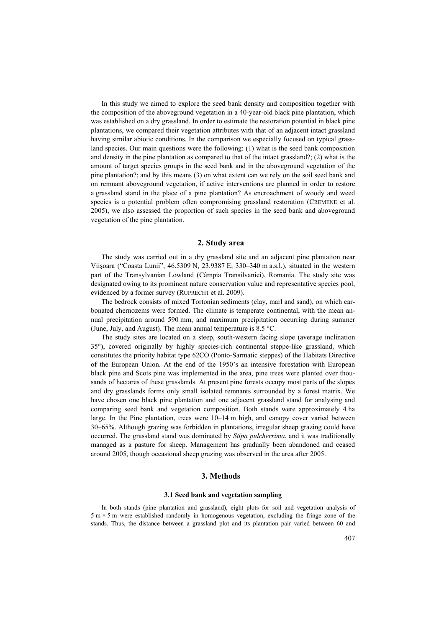In this study we aimed to explore the seed bank density and composition together with the composition of the aboveground vegetation in a 40-year-old black pine plantation, which was established on a dry grassland. In order to estimate the restoration potential in black pine plantations, we compared their vegetation attributes with that of an adjacent intact grassland having similar abiotic conditions. In the comparison we especially focused on typical grassland species. Our main questions were the following: (1) what is the seed bank composition and density in the pine plantation as compared to that of the intact grassland?; (2) what is the amount of target species groups in the seed bank and in the aboveground vegetation of the pine plantation?; and by this means (3) on what extent can we rely on the soil seed bank and on remnant aboveground vegetation, if active interventions are planned in order to restore a grassland stand in the place of a pine plantation? As encroachment of woody and weed species is a potential problem often compromising grassland restoration (CREMENE et al. 2005), we also assessed the proportion of such species in the seed bank and aboveground vegetation of the pine plantation.

# **2. Study area**

The study was carried out in a dry grassland site and an adjacent pine plantation near Viişoara ("Coasta Lunii", 46.5309 N, 23.9387 E; 330–340 m a.s.l.), situated in the western part of the Transylvanian Lowland (Câmpia Transilvaniei), Romania. The study site was designated owing to its prominent nature conservation value and representative species pool, evidenced by a former survey (RUPRECHT et al. 2009).

The bedrock consists of mixed Tortonian sediments (clay, marl and sand), on which carbonated chernozems were formed. The climate is temperate continental, with the mean annual precipitation around 590 mm, and maximum precipitation occurring during summer (June, July, and August). The mean annual temperature is 8.5 °C.

The study sites are located on a steep, south-western facing slope (average inclination 35°), covered originally by highly species-rich continental steppe-like grassland, which constitutes the priority habitat type 62CO (Ponto-Sarmatic steppes) of the Habitats Directive of the European Union. At the end of the 1950's an intensive forestation with European black pine and Scots pine was implemented in the area, pine trees were planted over thousands of hectares of these grasslands. At present pine forests occupy most parts of the slopes and dry grasslands forms only small isolated remnants surrounded by a forest matrix. We have chosen one black pine plantation and one adjacent grassland stand for analysing and comparing seed bank and vegetation composition. Both stands were approximately 4 ha large. In the Pine plantation, trees were 10–14 m high, and canopy cover varied between 30–65%. Although grazing was forbidden in plantations, irregular sheep grazing could have occurred. The grassland stand was dominated by *Stipa pulcherrima*, and it was traditionally managed as a pasture for sheep. Management has gradually been abandoned and ceased around 2005, though occasional sheep grazing was observed in the area after 2005.

## **3. Methods**

## **3.1 Seed bank and vegetation sampling**

In both stands (pine plantation and grassland), eight plots for soil and vegetation analysis of  $5 \text{ m} \times 5 \text{ m}$  were established randomly in homogenous vegetation, excluding the fringe zone of the stands. Thus, the distance between a grassland plot and its plantation pair varied between 60 and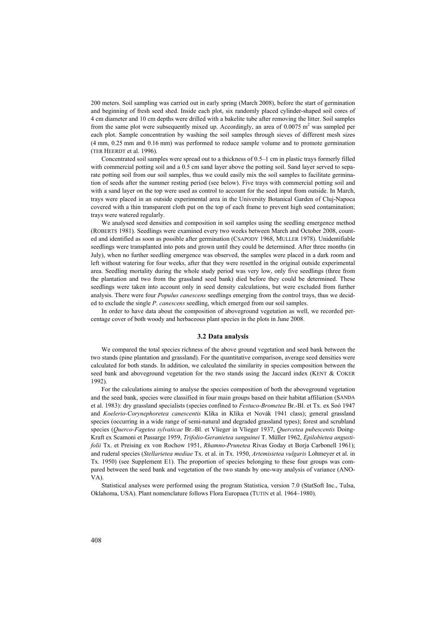200 meters. Soil sampling was carried out in early spring (March 2008), before the start of germination and beginning of fresh seed shed. Inside each plot, six randomly placed cylinder-shaped soil cores of 4 cm diameter and 10 cm depths were drilled with a bakelite tube after removing the litter. Soil samples from the same plot were subsequently mixed up. Accordingly, an area of  $0.0075$  m<sup>2</sup> was sampled per each plot. Sample concentration by washing the soil samples through sieves of different mesh sizes (4 mm, 0.25 mm and 0.16 mm) was performed to reduce sample volume and to promote germination (TER HEERDT et al. 1996).

Concentrated soil samples were spread out to a thickness of 0.5–1 cm in plastic trays formerly filled with commercial potting soil and a 0.5 cm sand layer above the potting soil. Sand layer served to separate potting soil from our soil samples, thus we could easily mix the soil samples to facilitate germination of seeds after the summer resting period (see below). Five trays with commercial potting soil and with a sand layer on the top were used as control to account for the seed input from outside. In March, trays were placed in an outside experimental area in the University Botanical Garden of Cluj-Napoca covered with a thin transparent cloth put on the top of each frame to prevent high seed contamination; trays were watered regularly.

We analysed seed densities and composition in soil samples using the seedling emergence method (ROBERTS 1981). Seedlings were examined every two weeks between March and October 2008, counted and identified as soon as possible after germination (CSAPODY 1968, MULLER 1978). Unidentifiable seedlings were transplanted into pots and grown until they could be determined. After three months (in July), when no further seedling emergence was observed, the samples were placed in a dark room and left without watering for four weeks, after that they were resettled in the original outside experimental area. Seedling mortality during the whole study period was very low, only five seedlings (three from the plantation and two from the grassland seed bank) died before they could be determined. These seedlings were taken into account only in seed density calculations, but were excluded from further analysis. There were four *Populus canescens* seedlings emerging from the control trays, thus we decided to exclude the single *P. canescens* seedling, which emerged from our soil samples.

In order to have data about the composition of aboveground vegetation as well, we recorded percentage cover of both woody and herbaceous plant species in the plots in June 2008.

#### **3.2 Data analysis**

We compared the total species richness of the above ground vegetation and seed bank between the two stands (pine plantation and grassland). For the quantitative comparison, average seed densities were calculated for both stands. In addition, we calculated the similarity in species composition between the seed bank and aboveground vegetation for the two stands using the Jaccard index (KENT & COKER 1992).

For the calculations aiming to analyse the species composition of both the aboveground vegetation and the seed bank, species were classified in four main groups based on their habitat affiliation (SANDA et al. 1983): dry grassland specialists (species confined to *Festuco-Brometea* Br.-Bl. et Tx. ex Soó 1947 and *Koelerio-Corynephoretea canescentis* Klika in Klika et Novák 1941 class); general grassland species (occurring in a wide range of semi-natural and degraded grassland types); forest and scrubland species (*Querco-Fagetea sylvaticae* Br.-Bl. et Vlieger in Vlieger 1937, *Quercetea pubescentis* Doing-Kraft ex Scamoni et Passarge 1959, *Trifolio-Geranietea sanguinei* T. Müller 1962, *Epilobietea angustifolii* Tx. et Preising ex von Rochow 1951, *Rhamno-Prunetea* Rivas Goday et Borja Carbonell 1961); and ruderal species (*Stellarietea mediae* Tx. et al. in Tx. 1950, *Artemisietea vulgaris* Lohmeyer et al. in Tx. 1950) (see Supplement E1). The proportion of species belonging to these four groups was compared between the seed bank and vegetation of the two stands by one-way analysis of variance (ANO-VA).

Statistical analyses were performed using the program Statistica, version 7.0 (StatSoft Inc., Tulsa, Oklahoma, USA). Plant nomenclature follows Flora Europaea (TUTIN et al. 1964–1980).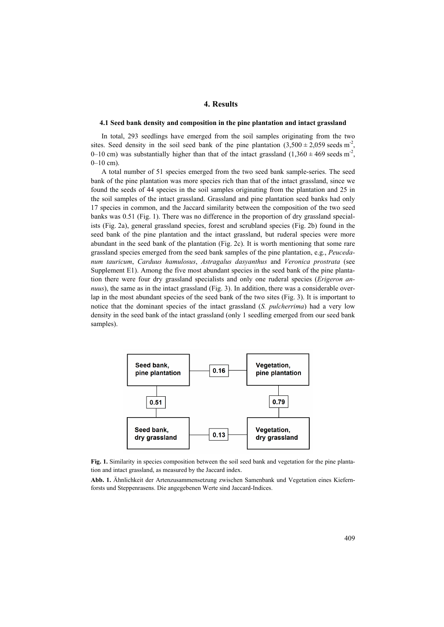# **4. Results**

### **4.1 Seed bank density and composition in the pine plantation and intact grassland**

In total, 293 seedlings have emerged from the soil samples originating from the two sites. Seed density in the soil seed bank of the pine plantation  $(3,500 \pm 2,059 \text{ seeds m}^2)$ , 0–10 cm) was substantially higher than that of the intact grassland  $(1,360 \pm 469 \text{ seeds m}^2)$ ,  $0-10$  cm).

A total number of 51 species emerged from the two seed bank sample-series. The seed bank of the pine plantation was more species rich than that of the intact grassland, since we found the seeds of 44 species in the soil samples originating from the plantation and 25 in the soil samples of the intact grassland. Grassland and pine plantation seed banks had only 17 species in common, and the Jaccard similarity between the composition of the two seed banks was 0.51 (Fig. 1). There was no difference in the proportion of dry grassland specialists (Fig. 2a), general grassland species, forest and scrubland species (Fig. 2b) found in the seed bank of the pine plantation and the intact grassland, but ruderal species were more abundant in the seed bank of the plantation (Fig. 2c). It is worth mentioning that some rare grassland species emerged from the seed bank samples of the pine plantation, e.g., *Peucedanum tauricum*, *Carduus hamulosus*, *Astragalus dasyanthus* and *Veronica prostrata* (see Supplement E1). Among the five most abundant species in the seed bank of the pine plantation there were four dry grassland specialists and only one ruderal species (*Erigeron annuus*), the same as in the intact grassland (Fig. 3). In addition, there was a considerable overlap in the most abundant species of the seed bank of the two sites (Fig. 3). It is important to notice that the dominant species of the intact grassland (*S. pulcherrima*) had a very low density in the seed bank of the intact grassland (only 1 seedling emerged from our seed bank samples).



**Fig. 1.** Similarity in species composition between the soil seed bank and vegetation for the pine plantation and intact grassland, as measured by the Jaccard index.

**Abb. 1.** Ähnlichkeit der Artenzusammensetzung zwischen Samenbank und Vegetation eines Kiefernforsts und Steppenrasens. Die angegebenen Werte sind Jaccard-Indices.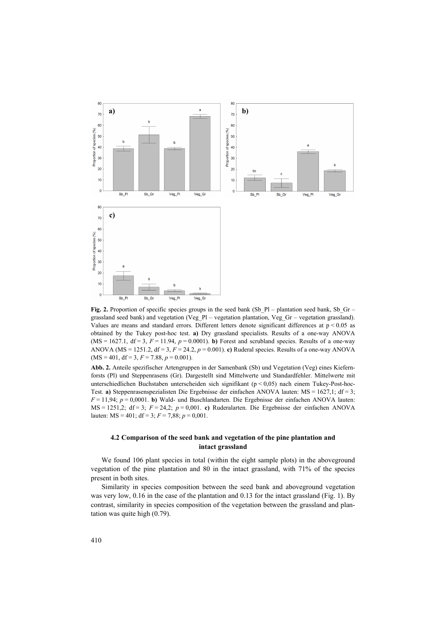

Fig. 2. Proportion of specific species groups in the seed bank (Sb\_Pl – plantation seed bank, Sb\_Gr – grassland seed bank) and vegetation (Veg\_Pl – vegetation plantation, Veg\_Gr – vegetation grassland). Values are means and standard errors. Different letters denote significant differences at  $p < 0.05$  as obtained by the Tukey post-hoc test. **a)** Dry grassland specialists. Results of a one-way ANOVA (MS = 1627.1, df = 3,  $F = 11.94$ ,  $p = 0.0001$ ). **b**) Forest and scrubland species. Results of a one-way ANOVA (MS = 1251.2, df = 3, *F* = 24.2, *p* = 0.001). **c)** Ruderal species. Results of a one-way ANOVA  $(MS = 401, df = 3, F = 7.88, p = 0.001).$ 

**Abb. 2.** Anteile spezifischer Artengruppen in der Samenbank (Sb) und Vegetation (Veg) eines Kiefernforsts (Pl) und Steppenrasens (Gr). Dargestellt sind Mittelwerte und Standardfehler. Mittelwerte mit unterschiedlichen Buchstaben unterscheiden sich signifikant (p < 0,05) nach einem Tukey-Post-hoc-Test. **a)** Steppenrasenspezialisten Die Ergebnisse der einfachen ANOVA lauten: MS = 1627,1; df = 3; *F* = 11,94; *p* = 0,0001. **b)** Wald- und Buschlandarten. Die Ergebnisse der einfachen ANOVA lauten: MS = 1251,2; df = 3; *F* = 24,2; *p* = 0,001. **c)** Ruderalarten. Die Ergebnisse der einfachen ANOVA lauten:  $MS = 401$ ;  $df = 3$ ;  $F = 7,88$ ;  $p = 0,001$ .

## **4.2 Comparison of the seed bank and vegetation of the pine plantation and intact grassland**

We found 106 plant species in total (within the eight sample plots) in the aboveground vegetation of the pine plantation and 80 in the intact grassland, with 71% of the species present in both sites.

Similarity in species composition between the seed bank and aboveground vegetation was very low, 0.16 in the case of the plantation and 0.13 for the intact grassland (Fig. 1). By contrast, similarity in species composition of the vegetation between the grassland and plantation was quite high (0.79).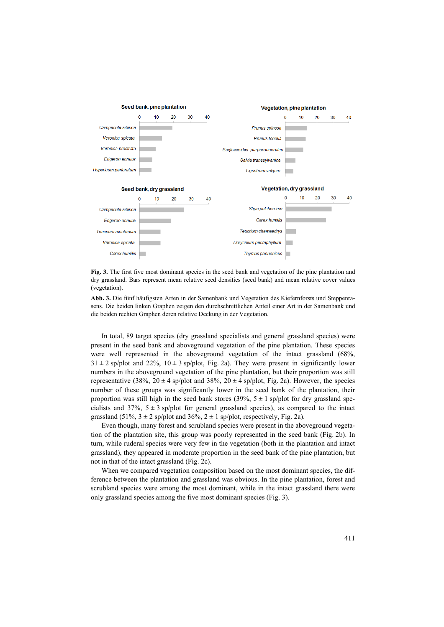

**Fig. 3.** The first five most dominant species in the seed bank and vegetation of the pine plantation and dry grassland. Bars represent mean relative seed densities (seed bank) and mean relative cover values (vegetation).

**Abb. 3.** Die fünf häufigsten Arten in der Samenbank und Vegetation des Kiefernforsts und Steppenrasens. Die beiden linken Graphen zeigen den durchschnittlichen Anteil einer Art in der Samenbank und die beiden rechten Graphen deren relative Deckung in der Vegetation.

In total, 89 target species (dry grassland specialists and general grassland species) were present in the seed bank and aboveground vegetation of the pine plantation. These species were well represented in the aboveground vegetation of the intact grassland (68%,  $31 \pm 2$  sp/plot and  $22\%$ ,  $10 \pm 3$  sp/plot, Fig. 2a). They were present in significantly lower numbers in the aboveground vegetation of the pine plantation, but their proportion was still representative (38%,  $20 \pm 4$  sp/plot and 38%,  $20 \pm 4$  sp/plot, Fig. 2a). However, the species number of these groups was significantly lower in the seed bank of the plantation, their proportion was still high in the seed bank stores (39%,  $5 \pm 1$  sp/plot for dry grassland specialists and 37%,  $5 \pm 3$  sp/plot for general grassland species), as compared to the intact grassland (51%,  $3 \pm 2$  sp/plot and 36%,  $2 \pm 1$  sp/plot, respectively, Fig. 2a).

Even though, many forest and scrubland species were present in the aboveground vegetation of the plantation site, this group was poorly represented in the seed bank (Fig. 2b). In turn, while ruderal species were very few in the vegetation (both in the plantation and intact grassland), they appeared in moderate proportion in the seed bank of the pine plantation, but not in that of the intact grassland (Fig. 2c).

When we compared vegetation composition based on the most dominant species, the difference between the plantation and grassland was obvious. In the pine plantation, forest and scrubland species were among the most dominant, while in the intact grassland there were only grassland species among the five most dominant species (Fig. 3).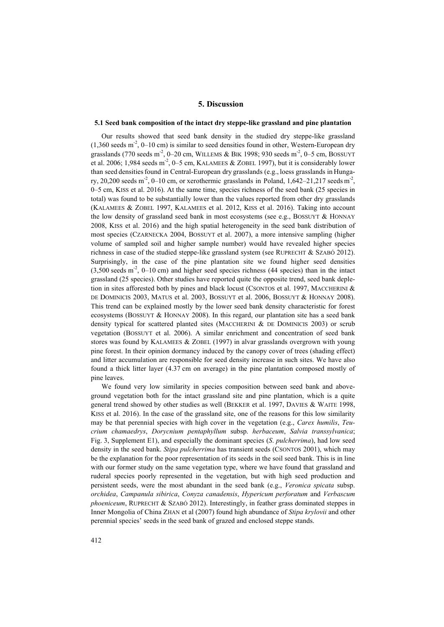# **5. Discussion**

### **5.1 Seed bank composition of the intact dry steppe-like grassland and pine plantation**

Our results showed that seed bank density in the studied dry steppe-like grassland  $(1,360 \text{ seeds m}^2, 0-10 \text{ cm})$  is similar to seed densities found in other, Western-European dry grasslands (770 seeds m<sup>-2</sup>, 0–20 cm, WILLEMS & BIK 1998; 930 seeds m<sup>-2</sup>, 0–5 cm, BOSSUYT et al. 2006; 1,984 seeds  $m^2$ , 0–5 cm, KALAMEES & ZOBEL 1997), but it is considerably lower than seed densities found in Central-European dry grasslands (e.g., loess grasslands in Hungary, 20,200 seeds m<sup>-2</sup>, 0–10 cm, or xerothermic grasslands in Poland, 1,642–21,217 seeds m<sup>-2</sup>, 0–5 cm, KISS et al. 2016). At the same time, species richness of the seed bank (25 species in total) was found to be substantially lower than the values reported from other dry grasslands (KALAMEES & ZOBEL 1997, KALAMEES et al. 2012, KISS et al. 2016). Taking into account the low density of grassland seed bank in most ecosystems (see e.g., BOSSUYT & HONNAY 2008, KISS et al. 2016) and the high spatial heterogeneity in the seed bank distribution of most species (CZARNECKA 2004, BOSSUYT et al. 2007), a more intensive sampling (higher volume of sampled soil and higher sample number) would have revealed higher species richness in case of the studied steppe-like grassland system (see RUPRECHT & SZABÓ 2012). Surprisingly, in the case of the pine plantation site we found higher seed densities  $(3,500 \text{ seeds m}^2, 0-10 \text{ cm})$  and higher seed species richness (44 species) than in the intact grassland (25 species). Other studies have reported quite the opposite trend, seed bank depletion in sites afforested both by pines and black locust (CSONTOS et al. 1997, MACCHERINI & DE DOMINICIS 2003, MATUS et al. 2003, BOSSUYT et al. 2006, BOSSUYT & HONNAY 2008). This trend can be explained mostly by the lower seed bank density characteristic for forest ecosystems (BOSSUYT & HONNAY 2008). In this regard, our plantation site has a seed bank density typical for scattered planted sites (MACCHERINI & DE DOMINICIS 2003) or scrub vegetation (BOSSUYT et al. 2006). A similar enrichment and concentration of seed bank stores was found by KALAMEES & ZOBEL (1997) in alvar grasslands overgrown with young pine forest. In their opinion dormancy induced by the canopy cover of trees (shading effect) and litter accumulation are responsible for seed density increase in such sites. We have also found a thick litter layer (4.37 cm on average) in the pine plantation composed mostly of pine leaves.

We found very low similarity in species composition between seed bank and aboveground vegetation both for the intact grassland site and pine plantation, which is a quite general trend showed by other studies as well (BEKKER et al. 1997, DAVIES & WAITE 1998, KISS et al. 2016). In the case of the grassland site, one of the reasons for this low similarity may be that perennial species with high cover in the vegetation (e.g., *Carex humilis*, *Teucrium chamaedrys*, *Dorycnium pentaphyllum* subsp. *herbaceum*, *Salvia transsylvanica*; Fig. 3, Supplement E1), and especially the dominant species (*S*. *pulcherrima*), had low seed density in the seed bank. *Stipa pulcherrima* has transient seeds (CSONTOS 2001), which may be the explanation for the poor representation of its seeds in the soil seed bank. This is in line with our former study on the same vegetation type, where we have found that grassland and ruderal species poorly represented in the vegetation, but with high seed production and persistent seeds, were the most abundant in the seed bank (e.g., *Veronica spicata* subsp. *orchidea*, *Campanula sibirica*, *Conyza canadensis*, *Hypericum perforatum* and *Verbascum phoeniceum*, RUPRECHT & SZABÓ 2012). Interestingly, in feather grass dominated steppes in Inner Mongolia of China ZHAN et al (2007) found high abundance of *Stipa krylovii* and other perennial species' seeds in the seed bank of grazed and enclosed steppe stands.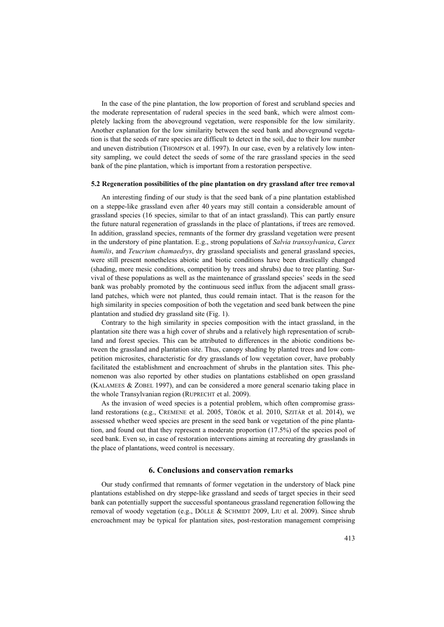In the case of the pine plantation, the low proportion of forest and scrubland species and the moderate representation of ruderal species in the seed bank, which were almost completely lacking from the aboveground vegetation, were responsible for the low similarity. Another explanation for the low similarity between the seed bank and aboveground vegetation is that the seeds of rare species are difficult to detect in the soil, due to their low number and uneven distribution (THOMPSON et al. 1997). In our case, even by a relatively low intensity sampling, we could detect the seeds of some of the rare grassland species in the seed bank of the pine plantation, which is important from a restoration perspective.

## **5.2 Regeneration possibilities of the pine plantation on dry grassland after tree removal**

An interesting finding of our study is that the seed bank of a pine plantation established on a steppe-like grassland even after 40 years may still contain a considerable amount of grassland species (16 species, similar to that of an intact grassland). This can partly ensure the future natural regeneration of grasslands in the place of plantations, if trees are removed. In addition, grassland species, remnants of the former dry grassland vegetation were present in the understory of pine plantation. E.g., strong populations of *Salvia transsylvanica*, *Carex humilis*, and *Teucrium chamaedrys*, dry grassland specialists and general grassland species, were still present nonetheless abiotic and biotic conditions have been drastically changed (shading, more mesic conditions, competition by trees and shrubs) due to tree planting. Survival of these populations as well as the maintenance of grassland species' seeds in the seed bank was probably promoted by the continuous seed influx from the adjacent small grassland patches, which were not planted, thus could remain intact. That is the reason for the high similarity in species composition of both the vegetation and seed bank between the pine plantation and studied dry grassland site (Fig. 1).

Contrary to the high similarity in species composition with the intact grassland, in the plantation site there was a high cover of shrubs and a relatively high representation of scrubland and forest species. This can be attributed to differences in the abiotic conditions between the grassland and plantation site. Thus, canopy shading by planted trees and low competition microsites, characteristic for dry grasslands of low vegetation cover, have probably facilitated the establishment and encroachment of shrubs in the plantation sites. This phenomenon was also reported by other studies on plantations established on open grassland (KALAMEES & ZOBEL 1997), and can be considered a more general scenario taking place in the whole Transylvanian region (RUPRECHT et al. 2009).

As the invasion of weed species is a potential problem, which often compromise grassland restorations (e.g., CREMENE et al. 2005, TÖRÖK et al. 2010, SZITÁR et al. 2014), we assessed whether weed species are present in the seed bank or vegetation of the pine plantation, and found out that they represent a moderate proportion (17.5%) of the species pool of seed bank. Even so, in case of restoration interventions aiming at recreating dry grasslands in the place of plantations, weed control is necessary.

## **6. Conclusions and conservation remarks**

Our study confirmed that remnants of former vegetation in the understory of black pine plantations established on dry steppe-like grassland and seeds of target species in their seed bank can potentially support the successful spontaneous grassland regeneration following the removal of woody vegetation (e.g., DÖLLE & SCHMIDT 2009, LIU et al. 2009). Since shrub encroachment may be typical for plantation sites, post-restoration management comprising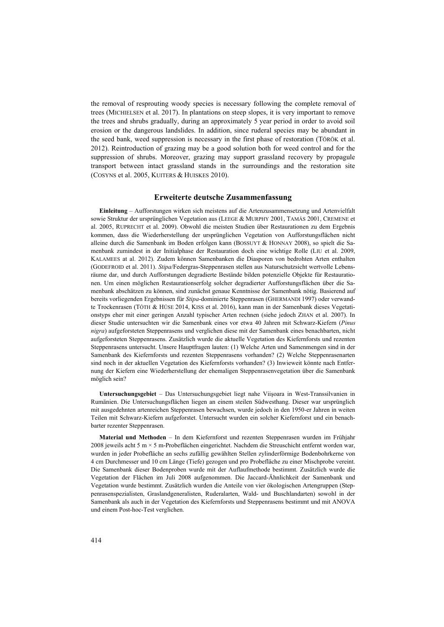the removal of resprouting woody species is necessary following the complete removal of trees (MICHIELSEN et al. 2017). In plantations on steep slopes, it is very important to remove the trees and shrubs gradually, during an approximately 5 year period in order to avoid soil erosion or the dangerous landslides. In addition, since ruderal species may be abundant in the seed bank, weed suppression is necessary in the first phase of restoration (TÖRÖK et al. 2012). Reintroduction of grazing may be a good solution both for weed control and for the suppression of shrubs. Moreover, grazing may support grassland recovery by propagule transport between intact grassland stands in the surroundings and the restoration site (COSYNS et al. 2005, KUITERS & HUISKES 2010).

## **Erweiterte deutsche Zusammenfassung**

**Einleitung** – Aufforstungen wirken sich meistens auf die Artenzusammensetzung und Artenvielfalt sowie Struktur der ursprünglichen Vegetation aus (LEEGE & MURPHY 2001, TAMÁS 2001, CREMENE et al. 2005, RUPRECHT et al. 2009). Obwohl die meisten Studien über Restaurationen zu dem Ergebnis kommen, dass die Wiederherstellung der ursprünglichen Vegetation von Aufforstungsflächen nicht alleine durch die Samenbank im Boden erfolgen kann (BOSSUYT & HONNAY 2008), so spielt die Samenbank zumindest in der Initialphase der Restauration doch eine wichtige Rolle (LIU et al. 2009, KALAMEES at al. 2012). Zudem können Samenbanken die Diasporen von bedrohten Arten enthalten (GODEFROID et al. 2011). *Stipa*/Federgras-Steppenrasen stellen aus Naturschutzsicht wertvolle Lebensräume dar, und durch Aufforstungen degradierte Bestände bilden potenzielle Objekte für Restaurationen. Um einen möglichen Restaurationserfolg solcher degradierter Aufforstungsflächen über die Samenbank abschätzen zu können, sind zunächst genaue Kenntnisse der Samenbank nötig. Basierend auf bereits vorliegenden Ergebnissen für *Stipa*-dominierte Steppenrasen (GHERMANDI 1997) oder verwandte Trockenrasen (TÓTH & HÜSE 2014, KISS et al. 2016), kann man in der Samenbank dieses Vegetationstyps eher mit einer geringen Anzahl typischer Arten rechnen (siehe jedoch ZHAN et al. 2007). In dieser Studie untersuchten wir die Samenbank eines vor etwa 40 Jahren mit Schwarz-Kiefern (*Pinus nigra*) aufgeforsteten Steppenrasens und verglichen diese mit der Samenbank eines benachbarten, nicht aufgeforsteten Steppenrasens. Zusätzlich wurde die aktuelle Vegetation des Kiefernforsts und rezenten Steppenrasens untersucht. Unsere Hauptfragen lauten: (1) Welche Arten und Samenmengen sind in der Samenbank des Kiefernforsts und rezenten Steppenrasens vorhanden? (2) Welche Steppenrasenarten sind noch in der aktuellen Vegetation des Kiefernforsts vorhanden? (3) Inwieweit könnte nach Entfernung der Kiefern eine Wiederherstellung der ehemaligen Steppenrasenvegetation über die Samenbank möglich sein?

**Untersuchungsgebiet** – Das Untersuchungsgebiet liegt nahe Viişoara in West-Transsilvanien in Rumänien. Die Untersuchungsflächen liegen an einem steilen Südwesthang. Dieser war ursprünglich mit ausgedehnten artenreichen Steppenrasen bewachsen, wurde jedoch in den 1950-er Jahren in weiten Teilen mit Schwarz-Kiefern aufgeforstet. Untersucht wurden ein solcher Kiefernforst und ein benachbarter rezenter Steppenrasen.

**Material und Methoden** – In dem Kiefernforst und rezenten Steppenrasen wurden im Frühjahr 2008 jeweils acht 5 m  $\times$  5 m-Probeflächen eingerichtet. Nachdem die Streuschicht entfernt worden war, wurden in jeder Probefläche an sechs zufällig gewählten Stellen zylinderförmige Bodenbohrkerne von 4 cm Durchmesser und 10 cm Länge (Tiefe) gezogen und pro Probefläche zu einer Mischprobe vereint. Die Samenbank dieser Bodenproben wurde mit der Auflaufmethode bestimmt. Zusätzlich wurde die Vegetation der Flächen im Juli 2008 aufgenommen. Die Jaccard-Ähnlichkeit der Samenbank und Vegetation wurde bestimmt. Zusätzlich wurden die Anteile von vier ökologischen Artengruppen (Steppenrasenspezialisten, Graslandgeneralisten, Ruderalarten, Wald- und Buschlandarten) sowohl in der Samenbank als auch in der Vegetation des Kiefernforsts und Steppenrasens bestimmt und mit ANOVA und einem Post-hoc-Test verglichen.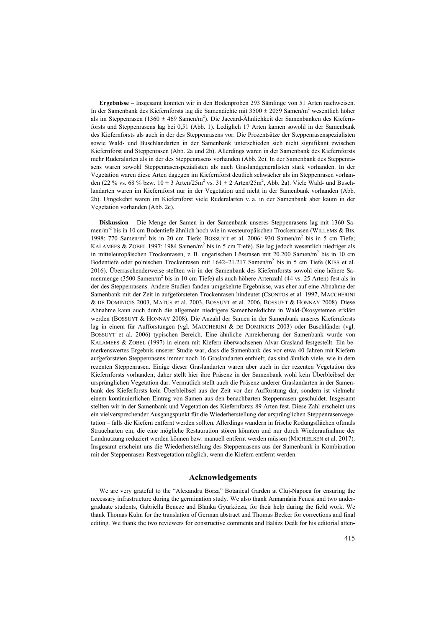**Ergebnisse** – Insgesamt konnten wir in den Bodenproben 293 Sämlinge von 51 Arten nachweisen. In der Samenbank des Kiefernforsts lag die Samendichte mit  $3500 \pm 2059$  Samen/m<sup>2</sup> wesentlich höher als im Steppenrasen (1360 ± 469 Samen/m<sup>2</sup>). Die Jaccard-Ähnlichkeit der Samenbanken des Kiefernforsts und Steppenrasens lag bei 0,51 (Abb. 1). Lediglich 17 Arten kamen sowohl in der Samenbank des Kiefernforsts als auch in der des Steppenrasens vor. Die Prozentsätze der Steppenrasenspezialisten sowie Wald- und Buschlandarten in der Samenbank unterschieden sich nicht signifikant zwischen Kiefernforst und Steppenrasen (Abb. 2a und 2b). Allerdings waren in der Samenbank des Kiefernforsts mehr Ruderalarten als in der des Steppenrasens vorhanden (Abb. 2c). In der Samenbank des Steppenrasens waren sowohl Steppenrasenspezialisten als auch Graslandgeneralisten stark vorhanden. In der Vegetation waren diese Arten dagegen im Kiefernforst deutlich schwächer als im Steppenrasen vorhanden (22 % vs. 68 % bzw.  $10 \pm 3$  Arten/25m<sup>2</sup> vs.  $31 \pm 2$  Arten/25m<sup>2</sup>, Abb. 2a). Viele Wald- und Buschlandarten waren im Kiefernforst nur in der Vegetation und nicht in der Samenbank vorhanden (Abb. 2b). Umgekehrt waren im Kiefernforst viele Ruderalarten v. a. in der Samenbank aber kaum in der Vegetation vorhanden (Abb. 2c).

**Diskussion** – Die Menge der Samen in der Samenbank unseres Steppenrasens lag mit 1360 Samen/m-2 bis in 10 cm Bodentiefe ähnlich hoch wie in westeuropäischen Trockenrasen (WILLEMS & BIK 1998: 770 Samen/m<sup>2</sup> bis in 20 cm Tiefe; BOSSUYT et al. 2006: 930 Samen/m<sup>2</sup> bis in 5 cm Tiefe; KALAMEES & ZOBEL 1997: 1984 Samen/m<sup>2</sup> bis in 5 cm Tiefe). Sie lag jedoch wesentlich niedriger als in mitteleuropäischen Trockenrasen, z. B. ungarischen Lössrasen mit 20.200 Samen/m<sup>2</sup> bis in 10 cm Bodentiefe oder polnischen Trockenrasen mit 1642–21.217 Samen/m<sup>2</sup> bis in 5 cm Tiefe (KISS et al. 2016). Überraschenderweise stellten wir in der Samenbank des Kiefernforsts sowohl eine höhere Samenmenge (3500 Samen/m<sup>2</sup> bis in 10 cm Tiefe) als auch höhere Artenzahl (44 vs. 25 Arten) fest als in der des Steppenrasens. Andere Studien fanden umgekehrte Ergebnisse, was eher auf eine Abnahme der Samenbank mit der Zeit in aufgeforsteten Trockenrasen hindeutet (CSONTOS et al. 1997, MACCHERINI & DE DOMINICIS 2003, MATUS et al. 2003, BOSSUYT et al. 2006, BOSSUYT & HONNAY 2008). Diese Abnahme kann auch durch die allgemein niedrigere Samenbankdichte in Wald-Ökosystemen erklärt werden (BOSSUYT & HONNAY 2008). Die Anzahl der Samen in der Samenbank unseres Kiefernforsts lag in einem für Aufforstungen (vgl. MACCHERINI & DE DOMINICIS 2003) oder Buschländer (vgl. BOSSUYT et al. 2006) typischen Bereich. Eine ähnliche Anreicherung der Samenbank wurde von KALAMEES & ZOBEL (1997) in einem mit Kiefern überwachsenen Alvar-Grasland festgestellt. Ein bemerkenswertes Ergebnis unserer Studie war, dass die Samenbank des vor etwa 40 Jahren mit Kiefern aufgeforsteten Steppenrasens immer noch 16 Graslandarten enthielt; das sind ähnlich viele, wie in dem rezenten Steppenrasen. Einige dieser Graslandarten waren aber auch in der rezenten Vegetation des Kiefernforsts vorhanden; daher stellt hier ihre Präsenz in der Samenbank wohl kein Überbleibsel der ursprünglichen Vegetation dar. Vermutlich stellt auch die Präsenz anderer Graslandarten in der Samenbank des Kieferforsts kein Überbleibsel aus der Zeit vor der Aufforstung dar, sondern ist vielmehr einem kontinuierlichen Eintrag von Samen aus den benachbarten Steppenrasen geschuldet. Insgesamt stellten wir in der Samenbank und Vegetation des Kiefernforsts 89 Arten fest. Diese Zahl erscheint uns ein vielversprechender Ausgangspunkt für die Wiederherstellung der ursprünglichen Steppenrasenvegetation – falls die Kiefern entfernt werden sollten. Allerdings wandern in frische Rodungsflächen oftmals Straucharten ein, die eine mögliche Restauration stören könnten und nur durch Wiederaufnahme der Landnutzung reduziert werden können bzw. manuell entfernt werden müssen (MICHIELSEN et al. 2017). Insgesamt erscheint uns die Wiederherstellung des Steppenrasens aus der Samenbank in Kombination mit der Steppenrasen-Restvegetation möglich, wenn die Kiefern entfernt werden.

## **Acknowledgements**

We are very grateful to the "Alexandru Borza" Botanical Garden at Cluj-Napoca for ensuring the necessary infrastructure during the germination study. We also thank Annamária Fenesi and two undergraduate students, Gabriella Bencze and Blanka Gyurkócza, for their help during the field work. We thank Thomas Kuhn for the translation of German abstract and Thomas Becker for corrections and final editing. We thank the two reviewers for constructive comments and Balázs Deák for his editorial atten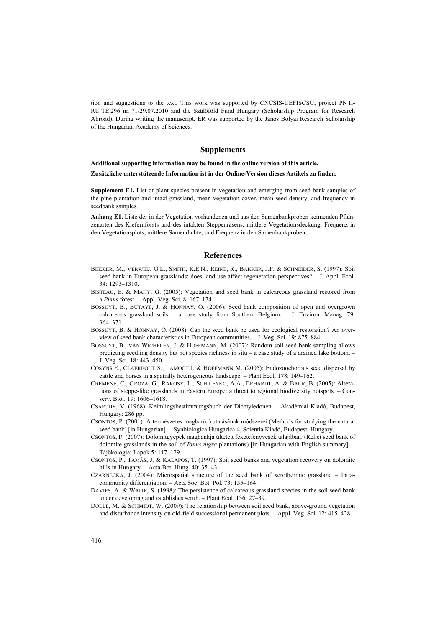tion and suggestions to the text. This work was supported by CNCSIS-UEFISCSU, project PN II-RU TE 296 nr. 71/29.07.2010 and the Szülőföld Fund Hungary (Scholarship Program for Research Abroad). During writing the manuscript, ER was supported by the János Bolyai Research Scholarship of the Hungarian Academy of Sciences.

### **Supplements**

**Additional supporting information may be found in the online version of this article.**

**Zusätzliche unterstützende Information ist in der Online-Version dieses Artikels zu finden.**

**Supplement E1.** List of plant species present in vegetation and emerging from seed bank samples of the pine plantation and intact grassland, mean vegetation cover, mean seed density, and frequency in seedbank samples.

**Anhang E1.** Liste der in der Vegetation vorhandenen und aus den Samenbankproben keimenden Pflanzenarten des Kiefernforsts und des intakten Steppenrasens, mittlere Vegetationsdeckung, Frequenz in den Vegetationsplots, mittlere Samendichte, und Frequenz in den Samenbankproben.

### **References**

- BEKKER, M., VERWEIJ, G.L., SMITH, R.E.N., REINE, R., BAKKER, J.P. & SCHNEIDER, S. (1997): Soil seed bank in European grasslands: does land use affect regeneration perspectives? – J. Appl. Ecol. 34: 1293–1310.
- BISTEAU, E. & MAHY, G. (2005): Vegetation and seed bank in calcareous grassland restored from a *Pinus* forest. – Appl. Veg. Sci. 8: 167–174.
- BOSSUYT, B., BUTAYE, J. & HONNAY, O. (2006): Seed bank composition of open and overgrown calcareous grassland soils – a case study from Southern Belgium. – J. Environ. Manag. 79: 364–371.
- BOSSUYT, B. & HONNAY, O. (2008): Can the seed bank be used for ecological restoration? An overview of seed bank characteristics in European communities. – J. Veg. Sci. 19: 875–884.
- BOSSUYT, B., VAN WICHELEN, J. & HOFFMANN, M. (2007): Random soil seed bank sampling allows predicting seedling density but not species richness in situ – a case study of a drained lake bottom. – J. Veg. Sci. 18: 443–450.
- COSYNS E., CLAERBOUT S., LAMOOT I. & HOFFMANN M. (2005): Endozoochorous seed dispersal by cattle and horses in a spatially heterogeneous landscape. – Plant Ecol. 178: 149–162.
- CREMENE, C., GROZA, G., RAKOSY, L., SCHILENKO, A.A., ERHARDT, A. & BAUR, B. (2005): Alterations of steppe-like grasslands in Eastern Europe: a threat to regional biodiversity hotspots. – Conserv. Biol. 19: 1606–1618.
- CSAPODY, V. (1968): Keimlingsbestimmungsbuch der Dicotyledonen. Akadémiai Kiadó, Budapest, Hungary: 286 pp.
- CSONTOS, P. (2001): A természetes magbank kutatásának módszerei (Methods for studying the natural seed bank) [in Hungarian]. – Synbiologica Hungarica 4, Scientia Kiadó, Budapest, Hungary.
- CSONTOS, P. (2007): Dolomitgyepek magbankja ültetett feketefenyvesek talajában. (Relict seed bank of dolomite grasslands in the soil of *Pinus nigra* plantations) [in Hungarian with English summary]. – Tájökológiai Lapok 5: 117–129.
- CSONTOS, P., TAMÁS, J. & KALAPOS, T. (1997): Soil seed banks and vegetation recovery on dolomite hills in Hungary. – Acta Bot. Hung. 40: 35–43.
- CZARNECKA, J. (2004): Microspatial structure of the seed bank of xerothermic grassland Intracommunity differentiation. – Acta Soc. Bot. Pol. 73: 155–164.
- DAVIES, A. & WAITE, S. (1998): The persistence of calcareous grassland species in the soil seed bank under developing and establishes scrub. – Plant Ecol. 136: 27–39.
- DÖLLE, M. & SCHMIDT, W. (2009): The relationship between soil seed bank, above-ground vegetation and disturbance intensity on old-field successional permanent plots. – Appl. Veg. Sci. 12: 415–428.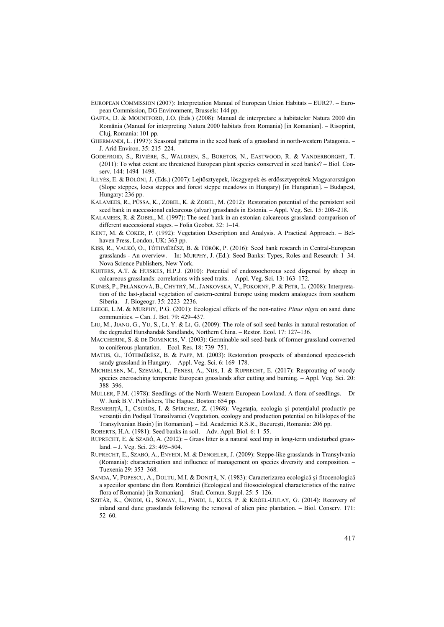- EUROPEAN COMMISSION (2007): Interpretation Manual of European Union Habitats EUR27. European Commission, DG Environment, Brussels: 144 pp.
- GAFTA, D. & MOUNTFORD, J.O. (Eds.) (2008): Manual de interpretare a habitatelor Natura 2000 din România (Manual for interpreting Natura 2000 habitats from Romania) [in Romanian]. – Risoprint, Cluj, Romania: 101 pp.
- GHERMANDI, L. (1997): Seasonal patterns in the seed bank of a grassland in north-western Patagonia. J. Arid Environ. 35: 215–224.
- GODEFROID, S., RIVIÈRE, S., WALDREN, S., BORETOS, N., EASTWOOD, R. & VANDERBORGHT, T. (2011): To what extent are threatened European plant species conserved in seed banks? – Biol. Conserv. 144: 1494–1498.
- ILLYÉS, E. & BÖLÖNI, J. (Eds.) (2007): Lejtősztyepek, löszgyepek és erdőssztyeprétek Magyarországon (Slope steppes, loess steppes and forest steppe meadows in Hungary) [in Hungarian]. – Budapest, Hungary: 236 pp.
- KALAMEES, R., PÜSSA, K., ZOBEL, K. & ZOBEL, M. (2012): Restoration potential of the persistent soil seed bank in successional calcareous (alvar) grasslands in Estonia. – Appl. Veg. Sci. 15: 208–218.
- KALAMEES, R. & ZOBEL, M. (1997): The seed bank in an estonian calcareous grassland: comparison of different successional stages. – Folia Geobot. 32: 1–14.
- KENT, M. & COKER, P. (1992): Vegetation Description and Analysis. A Practical Approach. Belhaven Press, London, UK: 363 pp.
- KISS, R., VALKÓ, O., TÓTHMÉRÉSZ, B. & TÖRÖK, P. (2016): Seed bank research in Central-European grasslands - An overview. – In: MURPHY, J. (Ed.): Seed Banks: Types, Roles and Research: 1–34. Nova Science Publishers, New York.
- KUITERS, A.T. & HUISKES, H.P.J. (2010): Potential of endozoochorous seed dispersal by sheep in calcareous grasslands: correlations with seed traits. – Appl. Veg. Sci. 13: 163–172.
- KUNEŠ, P., PELÁNKOVÁ, B., CHYTRÝ, M., JANKOVSKÁ, V., POKORNÝ, P. & PETR, L. (2008): Interpretation of the last-glacial vegetation of eastern-central Europe using modern analogues from southern Siberia. – J. Biogeogr. 35: 2223–2236.
- LEEGE, L.M. & MURPHY, P.G. (2001): Ecological effects of the non-native *Pinus nigra* on sand dune communities. – Can. J. Bot. 79: 429–437.
- LIU, M., JIANG, G., YU, S., LI, Y. & LI, G. (2009): The role of soil seed banks in natural restoration of the degraded Hunshandak Sandlands, Northern China. – Restor. Ecol. 17: 127–136.
- MACCHERINI, S. & DE DOMINICIS, V. (2003): Germinable soil seed-bank of former grassland converted to coniferous plantation. – Ecol. Res. 18: 739–751.
- MATUS, G., TÓTHMÉRÉSZ, B. & PAPP, M. (2003): Restoration prospects of abandoned species-rich sandy grassland in Hungary. – Appl. Veg. Sci. 6: 169–178.
- MICHIELSEN, M., SZEMÁK, L., FENESI, A., NIJS, I. & RUPRECHT, E. (2017): Resprouting of woody species encroaching temperate European grasslands after cutting and burning. – Appl. Veg. Sci. 20: 388–396.
- MULLER, F.M. (1978): Seedlings of the North-Western European Lowland. A flora of seedlings. Dr W. Junk B.V. Publishers, The Hague, Boston: 654 pp.
- RESMERIȚĂ, I., CSŰRÖS, I. & SPÎRCHEZ, Z. (1968): Vegetația, ecologia și potențialul productiv pe versanţii din Podişul Transilvaniei (Vegetation, ecology and production potential on hillslopes of the Transylvanian Basin) [in Romanian]. – Ed. Academiei R.S.R., Bucureşti, Romania: 206 pp.

ROBERTS, H.A. (1981): Seed banks in soil. – Adv. Appl. Biol. 6: 1–55.

- RUPRECHT, E. & SZABÓ, A. (2012): Grass litter is a natural seed trap in long-term undisturbed grassland. – J. Veg. Sci. 23: 495–504.
- RUPRECHT, E., SZABÓ, A., ENYEDI, M. & DENGELER, J. (2009): Steppe-like grasslands in Transylvania (Romania): characterisation and influence of management on species diversity and composition. – Tuexenia 29: 353–368.
- SANDA, V, POPESCU, A., DOLTU, M.I. & DONIŢĂ, N. (1983): Caracterizarea ecologică şi fitocenologică a speciilor spontane din flora României (Ecological and fitosociological characteristics of the native flora of Romania) [in Romanian]. – Stud. Comun. Suppl. 25: 5–126.
- SZITÁR, K., ÓNODI, G., SOMAY, L., PÁNDI, I., KUCS, P. & KRÖEL-DULAY, G. (2014): Recovery of inland sand dune grasslands following the removal of alien pine plantation. – Biol. Conserv. 171: 52–60.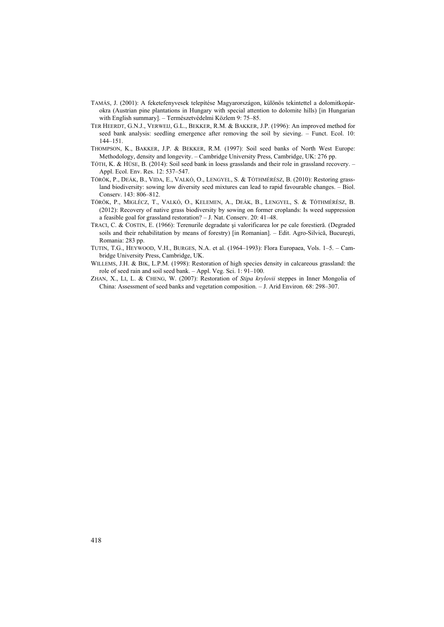- TAMÁS, J. (2001): A feketefenyvesek telepítése Magyarországon, különös tekintettel a dolomitkopárokra (Austrian pine plantations in Hungary with special attention to dolomite hills) [in Hungarian with English summary]. – Természetvédelmi Közlem 9: 75–85.
- TER HEERDT, G.N.J., VERWEIJ, G.L., BEKKER, R.M. & BAKKER, J.P. (1996): An improved method for seed bank analysis: seedling emergence after removing the soil by sieving. – Funct. Ecol. 10: 144–151.
- THOMPSON, K., BAKKER, J.P. & BEKKER, R.M. (1997): Soil seed banks of North West Europe: Methodology, density and longevity. – Cambridge University Press, Cambridge, UK: 276 pp.
- TÓTH, K. & HÜSE, B. (2014): Soil seed bank in loess grasslands and their role in grassland recovery. Appl. Ecol. Env. Res. 12: 537–547.
- TÖRÖK, P., DEÁK, B., VIDA, E., VALKÓ, O., LENGYEL, S. & TÓTHMÉRÉSZ, B. (2010): Restoring grassland biodiversity: sowing low diversity seed mixtures can lead to rapid favourable changes. – Biol. Conserv. 143: 806–812.
- TÖRÖK, P., MIGLÉCZ, T., VALKÓ, O., KELEMEN, A., DEÁK, B., LENGYEL, S. & TÓTHMÉRÉSZ, B. (2012): Recovery of native grass biodiversity by sowing on former croplands: Is weed suppression a feasible goal for grassland restoration? – J. Nat. Conserv. 20: 41–48.
- TRACI, C. & COSTIN, E. (1966): Terenurile degradate şi valorificarea lor pe cale forestieră. (Degraded soils and their rehabilitation by means of forestry) [in Romanian]. – Edit. Agro-Silvică, Bucureşti, Romania: 283 pp.
- TUTIN, T.G., HEYWOOD, V.H., BURGES, N.A. et al. (1964–1993): Flora Europaea, Vols. 1–5. Cambridge University Press, Cambridge, UK.
- WILLEMS, J.H. & BIK, L.P.M. (1998): Restoration of high species density in calcareous grassland: the role of seed rain and soil seed bank. – Appl. Veg. Sci. 1: 91–100.
- ZHAN, X., LI, L. & CHENG, W. (2007): Restoration of *Stipa krylovii* steppes in Inner Mongolia of China: Assessment of seed banks and vegetation composition. – J. Arid Environ. 68: 298–307.